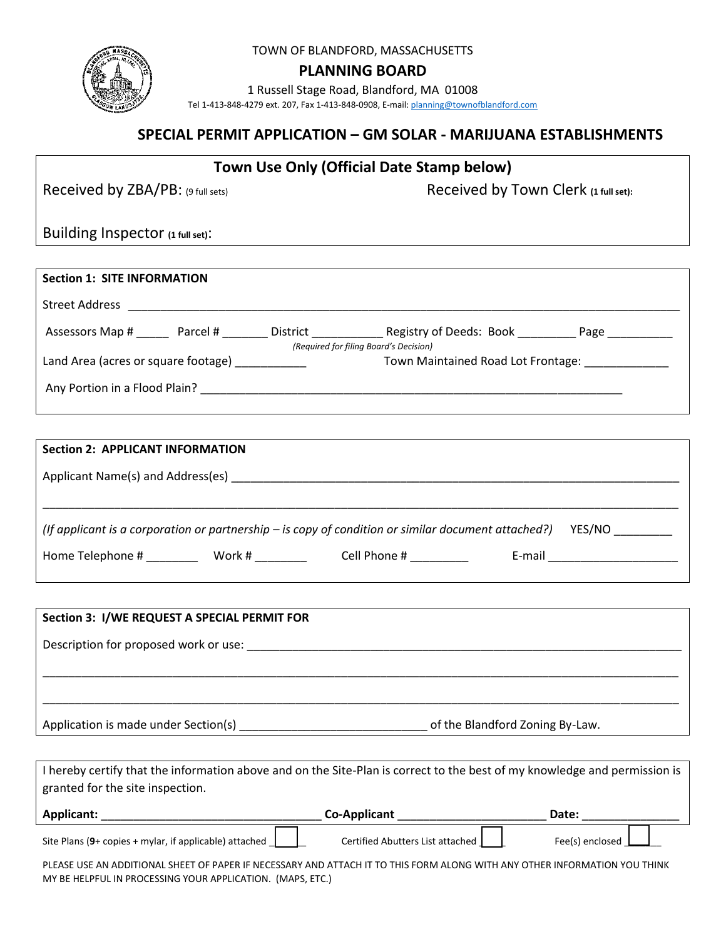

TOWN OF BLANDFORD, MASSACHUSETTS

**PLANNING BOARD** 

1 Russell Stage Road, Blandford, MA 01008

Tel 1-413-848-4279 ext. 207, Fax 1-413-848-0908, E-mail[: planning@townofblandford.com](mailto:planning@townofblandford.com)

## **SPECIAL PERMIT APPLICATION – GM SOLAR - MARIJUANA ESTABLISHMENTS**

# **Town Use Only (Official Date Stamp below)**

Received by ZBA/PB: (9 full sets) Received by Town Clerk (1 full set):

Building Inspector **(1 full set)**:

| <b>Section 1: SITE INFORMATION</b>                                            |                 |                                    |      |
|-------------------------------------------------------------------------------|-----------------|------------------------------------|------|
| <b>Street Address</b>                                                         |                 |                                    |      |
| Assessors Map #<br>Parcel #                                                   | <b>District</b> | Registry of Deeds: Book            | Page |
| (Required for filing Board's Decision)<br>Land Area (acres or square footage) |                 | Town Maintained Road Lot Frontage: |      |
| Any Portion in a Flood Plain?                                                 |                 |                                    |      |

| <b>Section 2: APPLICANT INFORMATION</b>                                                                         |              |                                                                                                                |  |  |  |
|-----------------------------------------------------------------------------------------------------------------|--------------|----------------------------------------------------------------------------------------------------------------|--|--|--|
|                                                                                                                 |              |                                                                                                                |  |  |  |
|                                                                                                                 |              |                                                                                                                |  |  |  |
| YES/NO<br>(If applicant is a corporation or partnership $-$ is copy of condition or similar document attached?) |              |                                                                                                                |  |  |  |
| Home Telephone #<br>Work #                                                                                      | Cell Phone # | E-mail and the contract of the contract of the contract of the contract of the contract of the contract of the |  |  |  |
|                                                                                                                 |              |                                                                                                                |  |  |  |

| Section 3: I/WE REQUEST A SPECIAL PERMIT FOR |                                 |  |  |  |  |
|----------------------------------------------|---------------------------------|--|--|--|--|
| Description for proposed work or use:        |                                 |  |  |  |  |
|                                              |                                 |  |  |  |  |
|                                              |                                 |  |  |  |  |
| Application is made under Section(s)         | of the Blandford Zoning By-Law. |  |  |  |  |

I hereby certify that the information above and on the Site-Plan is correct to the best of my knowledge and permission is granted for the site inspection.

| <b>Applicant:</b>                                        | <b>Co-Applicant</b>              | Date:           |
|----------------------------------------------------------|----------------------------------|-----------------|
| Site Plans $(9+$ copies + mylar, if applicable) attached | Certified Abutters List attached | Fee(s) enclosed |

PLEASE USE AN ADDITIONAL SHEET OF PAPER IF NECESSARY AND ATTACH IT TO THIS FORM ALONG WITH ANY OTHER INFORMATION YOU THINK MY BE HELPFUL IN PROCESSING YOUR APPLICATION. (MAPS, ETC.)